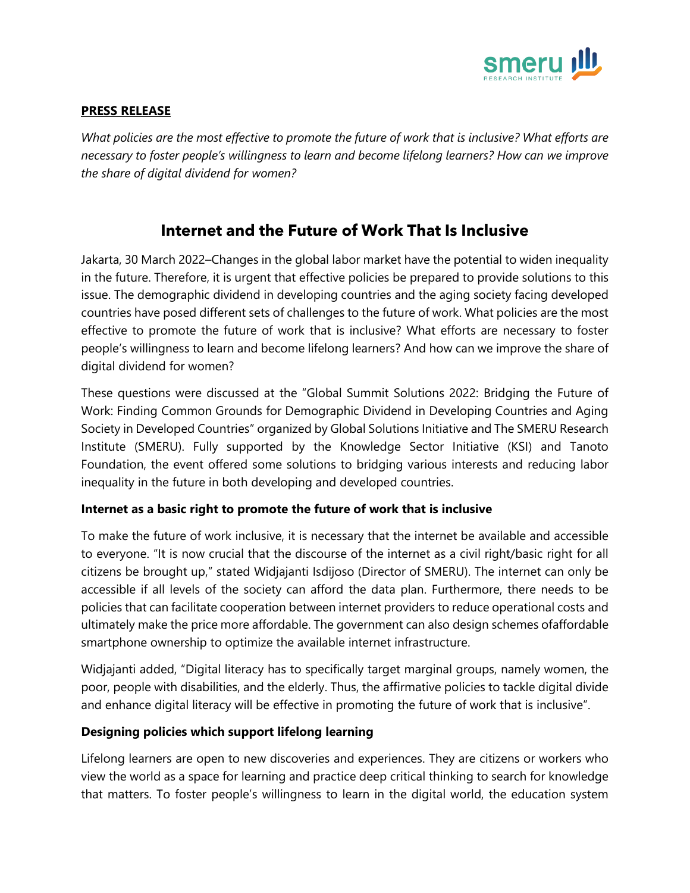

### **PRESS RELEASE**

*What policies are the most effective to promote the future of work that is inclusive? What efforts are necessary to foster people's willingness to learn and become lifelong learners? How can we improve the share of digital dividend for women?*

# **Internet and the Future of Work That Is Inclusive**

Jakarta, 30 March 2022–Changes in the global labor market have the potential to widen inequality in the future. Therefore, it is urgent that effective policies be prepared to provide solutions to this issue. The demographic dividend in developing countries and the aging society facing developed countries have posed different sets of challenges to the future of work. What policies are the most effective to promote the future of work that is inclusive? What efforts are necessary to foster people's willingness to learn and become lifelong learners? And how can we improve the share of digital dividend for women?

These questions were discussed at the "Global Summit Solutions 2022: Bridging the Future of Work: Finding Common Grounds for Demographic Dividend in Developing Countries and Aging Society in Developed Countries" organized by Global Solutions Initiative and The SMERU Research Institute (SMERU). Fully supported by the Knowledge Sector Initiative (KSI) and Tanoto Foundation, the event offered some solutions to bridging various interests and reducing labor inequality in the future in both developing and developed countries.

### **Internet as a basic right to promote the future of work that is inclusive**

To make the future of work inclusive, it is necessary that the internet be available and accessible to everyone. "It is now crucial that the discourse of the internet as a civil right/basic right for all citizens be brought up," stated Widjajanti Isdijoso (Director of SMERU). The internet can only be accessible if all levels of the society can afford the data plan. Furthermore, there needs to be policies that can facilitate cooperation between internet providers to reduce operational costs and ultimately make the price more affordable. The government can also design schemes ofaffordable smartphone ownership to optimize the available internet infrastructure.

Widjajanti added, "Digital literacy has to specifically target marginal groups, namely women, the poor, people with disabilities, and the elderly. Thus, the affirmative policies to tackle digital divide and enhance digital literacy will be effective in promoting the future of work that is inclusive".

### **Designing policies which support lifelong learning**

Lifelong learners are open to new discoveries and experiences. They are citizens or workers who view the world as a space for learning and practice deep critical thinking to search for knowledge that matters. To foster people's willingness to learn in the digital world, the education system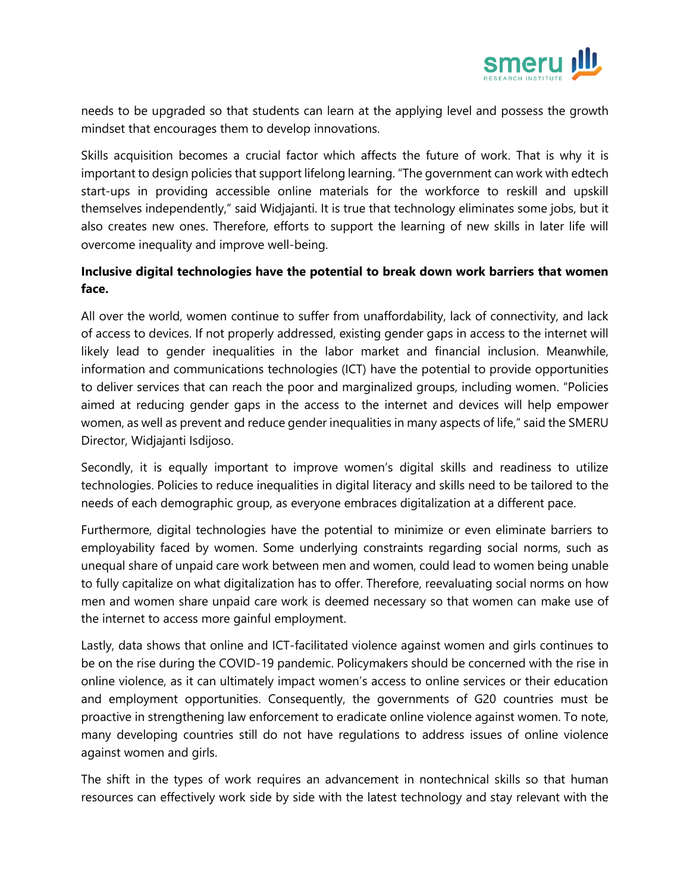

needs to be upgraded so that students can learn at the applying level and possess the growth mindset that encourages them to develop innovations.

Skills acquisition becomes a crucial factor which affects the future of work. That is why it is important to design policies that support lifelong learning. "The government can work with edtech start-ups in providing accessible online materials for the workforce to reskill and upskill themselves independently," said Widjajanti. It is true that technology eliminates some jobs, but it also creates new ones. Therefore, efforts to support the learning of new skills in later life will overcome inequality and improve well-being.

## **Inclusive digital technologies have the potential to break down work barriers that women face.**

All over the world, women continue to suffer from unaffordability, lack of connectivity, and lack of access to devices. If not properly addressed, existing gender gaps in access to the internet will likely lead to gender inequalities in the labor market and financial inclusion. Meanwhile, information and communications technologies (ICT) have the potential to provide opportunities to deliver services that can reach the poor and marginalized groups, including women. "Policies aimed at reducing gender gaps in the access to the internet and devices will help empower women, as well as prevent and reduce gender inequalities in many aspects of life," said the SMERU Director, Widjajanti Isdijoso.

Secondly, it is equally important to improve women's digital skills and readiness to utilize technologies. Policies to reduce inequalities in digital literacy and skills need to be tailored to the needs of each demographic group, as everyone embraces digitalization at a different pace.

Furthermore, digital technologies have the potential to minimize or even eliminate barriers to employability faced by women. Some underlying constraints regarding social norms, such as unequal share of unpaid care work between men and women, could lead to women being unable to fully capitalize on what digitalization has to offer. Therefore, reevaluating social norms on how men and women share unpaid care work is deemed necessary so that women can make use of the internet to access more gainful employment.

Lastly, data shows that online and ICT-facilitated violence against women and girls continues to be on the rise during the COVID-19 pandemic. Policymakers should be concerned with the rise in online violence, as it can ultimately impact women's access to online services or their education and employment opportunities. Consequently, the governments of G20 countries must be proactive in strengthening law enforcement to eradicate online violence against women. To note, many developing countries still do not have regulations to address issues of online violence against women and girls.

The shift in the types of work requires an advancement in nontechnical skills so that human resources can effectively work side by side with the latest technology and stay relevant with the